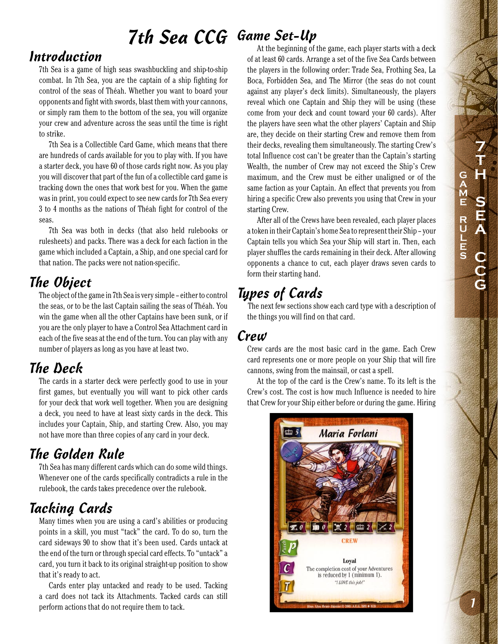# 7th Sea CCG Game Set-Up

## Introduction

7th Sea is a game of high seas swashbuckling and ship-to-ship combat. In 7th Sea, you are the captain of a ship fighting for control of the seas of Théah. Whether you want to board your opponents and fight with swords, blast them with your cannons, or simply ram them to the bottom of the sea, you will organize your crew and adventure across the seas until the time is right to strike.

7th Sea is a Collectible Card Game, which means that there are hundreds of cards available for you to play with. If you have a starter deck, you have 60 of those cards right now. As you play you will discover that part of the fun of a collectible card game is tracking down the ones that work best for you. When the game was in print, you could expect to see new cards for 7th Sea every 3 to 4 months as the nations of Théah fight for control of the seas.

7th Sea was both in decks (that also held rulebooks or rulesheets) and packs. There was a deck for each faction in the game which included a Captain, a Ship, and one special card for that nation. The packs were not nation-specific.

# The Object

The object of the game in 7th Sea is very simple – either to control the seas, or to be the last Captain sailing the seas of Théah. You win the game when all the other Captains have been sunk, or if you are the only player to have a Control Sea Attachment card in each of the five seas at the end of the turn. You can play with any number of players as long as you have at least two.

## The Deck

The cards in a starter deck were perfectly good to use in your first games, but eventually you will want to pick other cards for your deck that work well together. When you are designing a deck, you need to have at least sixty cards in the deck. This includes your Captain, Ship, and starting Crew. Also, you may not have more than three copies of any card in your deck.

# The Golden Rule

7th Sea has many different cards which can do some wild things. Whenever one of the cards specifically contradicts a rule in the rulebook, the cards takes precedence over the rulebook.

# Tacking Cards

Many times when you are using a card's abilities or producing points in a skill, you must "tack" the card. To do so, turn the card sideways 90 to show that it's been used. Cards untack at the end of the turn or through special card effects. To "untack" a card, you turn it back to its original straight-up position to show that it's ready to act.

Cards enter play untacked and ready to be used. Tacking a card does not tack its Attachments. Tacked cards can still perform actions that do not require them to tack.

At the beginning of the game, each player starts with a deck of at least 60 cards. Arrange a set of the five Sea Cards between the players in the following order: Trade Sea, Frothing Sea, La Boca, Forbidden Sea, and The Mirror (the seas do not count against any player's deck limits). Simultaneously, the players reveal which one Captain and Ship they will be using (these come from your deck and count toward your 60 cards). After the players have seen what the other players' Captain and Ship are, they decide on their starting Crew and remove them from their decks, revealing them simultaneously. The starting Crew's total Influence cost can't be greater than the Captain's starting Wealth, the number of Crew may not exceed the Ship's Crew maximum, and the Crew must be either unaligned or of the same faction as your Captain. An effect that prevents you from hiring a specific Crew also prevents you using that Crew in your starting Crew.

After all of the Crews have been revealed, each player places a token in their Captain's home Sea to represent their Ship – your Captain tells you which Sea your Ship will start in. Then, each player shuffles the cards remaining in their deck. After allowing opponents a chance to cut, each player draws seven cards to form their starting hand.

# Types of Cards

The next few sections show each card type with a description of the things you will find on that card.

#### Crew

Crew cards are the most basic card in the game. Each Crew card represents one or more people on your Ship that will fire cannons, swing from the mainsail, or cast a spell.

At the top of the card is the Crew's name. To its left is the Crew's cost. The cost is how much Influence is needed to hire that Crew for your Ship either before or during the game. Hiring

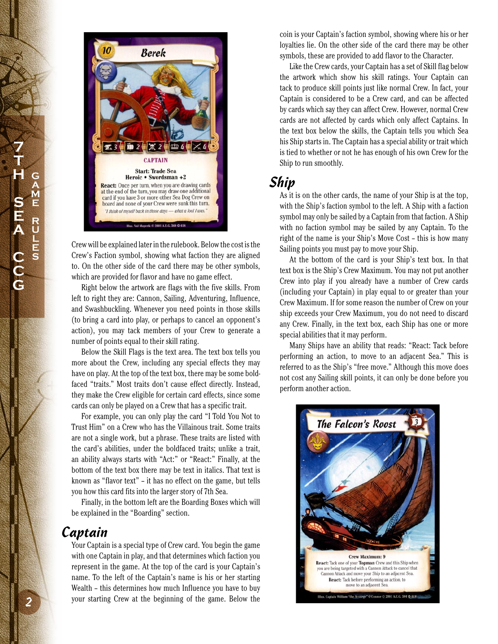



Crew will be explained later in the rulebook. Below the cost is the Crew's Faction symbol, showing what faction they are aligned to. On the other side of the card there may be other symbols, which are provided for flavor and have no game effect.

Right below the artwork are flags with the five skills. From left to right they are: Cannon, Sailing, Adventuring, Influence, and Swashbuckling. Whenever you need points in those skills (to bring a card into play, or perhaps to cancel an opponent's action), you may tack members of your Crew to generate a number of points equal to their skill rating.

Below the Skill Flags is the text area. The text box tells you more about the Crew, including any special effects they may have on play. At the top of the text box, there may be some boldfaced "traits." Most traits don't cause effect directly. Instead, they make the Crew eligible for certain card effects, since some cards can only be played on a Crew that has a specific trait.

For example, you can only play the card "I Told You Not to Trust Him" on a Crew who has the Villainous trait. Some traits are not a single work, but a phrase. These traits are listed with the card's abilities, under the boldfaced traits; unlike a trait, an ability always starts with "Act:" or "React:" Finally, at the bottom of the text box there may be text in italics. That text is known as "flavor text" – it has no effect on the game, but tells you how this card fits into the larger story of 7th Sea.

Finally, in the bottom left are the Boarding Boxes which will be explained in the "Boarding" section.

#### Captain

Your Captain is a special type of Crew card. You begin the game with one Captain in play, and that determines which faction you represent in the game. At the top of the card is your Captain's name. To the left of the Captain's name is his or her starting Wealth – this determines how much Influence you have to buy your starting Crew at the beginning of the game. Below the

coin is your Captain's faction symbol, showing where his or her loyalties lie. On the other side of the card there may be other symbols, these are provided to add flavor to the Character.

Like the Crew cards, your Captain has a set of Skill flag below the artwork which show his skill ratings. Your Captain can tack to produce skill points just like normal Crew. In fact, your Captain is considered to be a Crew card, and can be affected by cards which say they can affect Crew. However, normal Crew cards are not affected by cards which only affect Captains. In the text box below the skills, the Captain tells you which Sea his Ship starts in. The Captain has a special ability or trait which is tied to whether or not he has enough of his own Crew for the Ship to run smoothly.

#### Ship

As it is on the other cards, the name of your Ship is at the top, with the Ship's faction symbol to the left. A Ship with a faction symbol may only be sailed by a Captain from that faction. A Ship with no faction symbol may be sailed by any Captain. To the right of the name is your Ship's Move Cost – this is how many Sailing points you must pay to move your Ship.

At the bottom of the card is your Ship's text box. In that text box is the Ship's Crew Maximum. You may not put another Crew into play if you already have a number of Crew cards (including your Captain) in play equal to or greater than your Crew Maximum. If for some reason the number of Crew on your ship exceeds your Crew Maximum, you do not need to discard any Crew. Finally, in the text box, each Ship has one or more special abilities that it may perform.

Many Ships have an ability that reads: "React: Tack before performing an action, to move to an adjacent Sea." This is referred to as the Ship's "free move." Although this move does not cost any Sailing skill points, it can only be done before you perform another action.

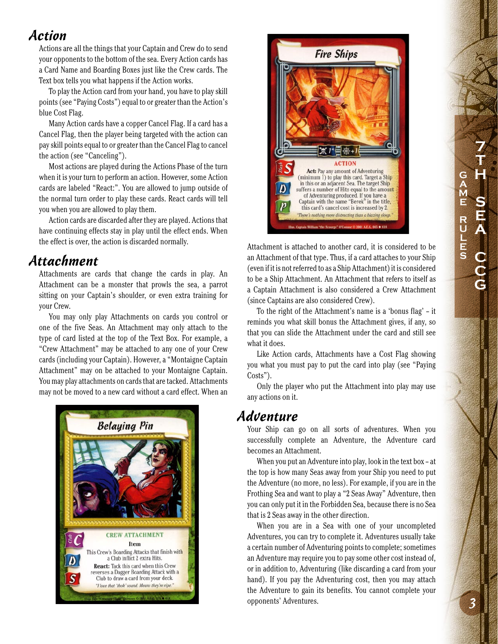#### Action

Actions are all the things that your Captain and Crew do to send your opponents to the bottom of the sea. Every Action cards has a Card Name and Boarding Boxes just like the Crew cards. The Text box tells you what happens if the Action works.

To play the Action card from your hand, you have to play skill points (see "Paying Costs") equal to or greater than the Action's blue Cost Flag.

Many Action cards have a copper Cancel Flag. If a card has a Cancel Flag, then the player being targeted with the action can pay skill points equal to or greater than the Cancel Flag to cancel the action (see "Canceling").

Most actions are played during the Actions Phase of the turn when it is your turn to perform an action. However, some Action cards are labeled "React:". You are allowed to jump outside of the normal turn order to play these cards. React cards will tell you when you are allowed to play them.

Action cards are discarded after they are played. Actions that have continuing effects stay in play until the effect ends. When the effect is over, the action is discarded normally.

#### Attachment

Attachments are cards that change the cards in play. An Attachment can be a monster that prowls the sea, a parrot sitting on your Captain's shoulder, or even extra training for your Crew.

You may only play Attachments on cards you control or one of the five Seas. An Attachment may only attach to the type of card listed at the top of the Text Box. For example, a "Crew Attachment" may be attached to any one of your Crew cards (including your Captain). However, a "Montaigne Captain Attachment" may on be attached to your Montaigne Captain. You may play attachments on cards that are tacked. Attachments may not be moved to a new card without a card effect. When an





Attachment is attached to another card, it is considered to be an Attachment of that type. Thus, if a card attaches to your Ship (even if it is not referred to as a Ship Attachment) it is considered to be a Ship Attachment. An Attachment that refers to itself as a Captain Attachment is also considered a Crew Attachment (since Captains are also considered Crew).

To the right of the Attachment's name is a 'bonus flag' – it reminds you what skill bonus the Attachment gives, if any, so that you can slide the Attachment under the card and still see what it does.

Like Action cards, Attachments have a Cost Flag showing you what you must pay to put the card into play (see "Paying Costs").

Only the player who put the Attachment into play may use any actions on it.

#### Adventure

Your Ship can go on all sorts of adventures. When you successfully complete an Adventure, the Adventure card becomes an Attachment.

When you put an Adventure into play, look in the text box – at the top is how many Seas away from your Ship you need to put the Adventure (no more, no less). For example, if you are in the Frothing Sea and want to play a "2 Seas Away" Adventure, then you can only put it in the Forbidden Sea, because there is no Sea that is 2 Seas away in the other direction.

When you are in a Sea with one of your uncompleted Adventures, you can try to complete it. Adventures usually take a certain number of Adventuring points to complete; sometimes an Adventure may require you to pay some other cost instead of, or in addition to, Adventuring (like discarding a card from your hand). If you pay the Adventuring cost, then you may attach the Adventure to gain its benefits. You cannot complete your opponents' Adventures.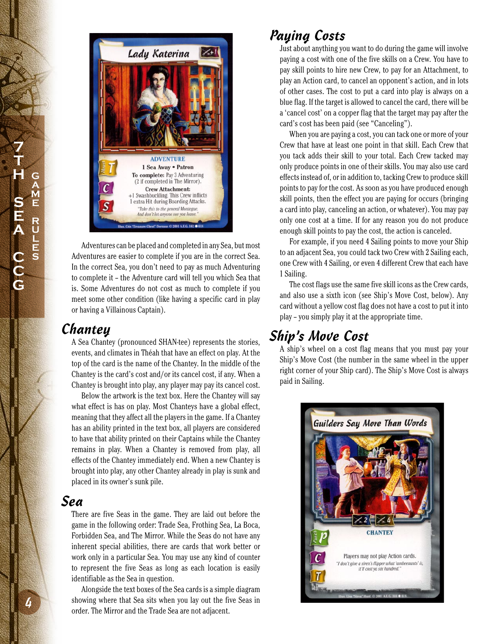

Adventures can be placed and completed in any Sea, but most Adventures are easier to complete if you are in the correct Sea. In the correct Sea, you don't need to pay as much Adventuring to complete it – the Adventure card will tell you which Sea that is. Some Adventures do not cost as much to complete if you meet some other condition (like having a specific card in play or having a Villainous Captain).

#### **Chantey**

A Sea Chantey (pronounced SHAN-tee) represents the stories, events, and climates in Théah that have an effect on play. At the top of the card is the name of the Chantey. In the middle of the Chantey is the card's cost and/or its cancel cost, if any. When a Chantey is brought into play, any player may pay its cancel cost.

Below the artwork is the text box. Here the Chantey will say what effect is has on play. Most Chanteys have a global effect, meaning that they affect all the players in the game. If a Chantey has an ability printed in the text box, all players are considered to have that ability printed on their Captains while the Chantey remains in play. When a Chantey is removed from play, all effects of the Chantey immediately end. When a new Chantey is brought into play, any other Chantey already in play is sunk and placed in its owner's sunk pile.

#### Sea

There are five Seas in the game. They are laid out before the game in the following order: Trade Sea, Frothing Sea, La Boca, Forbidden Sea, and The Mirror. While the Seas do not have any inherent special abilities, there are cards that work better or work only in a particular Sea. You may use any kind of counter to represent the five Seas as long as each location is easily identifiable as the Sea in question.

Alongside the text boxes of the Sea cards is a simple diagram showing where that Sea sits when you lay out the five Seas in order. The Mirror and the Trade Sea are not adjacent.

# Paying Costs

Just about anything you want to do during the game will involve paying a cost with one of the five skills on a Crew. You have to pay skill points to hire new Crew, to pay for an Attachment, to play an Action card, to cancel an opponent's action, and in lots of other cases. The cost to put a card into play is always on a blue flag. If the target is allowed to cancel the card, there will be a 'cancel cost' on a copper flag that the target may pay after the card's cost has been paid (see "Canceling").

When you are paying a cost, you can tack one or more of your Crew that have at least one point in that skill. Each Crew that you tack adds their skill to your total. Each Crew tacked may only produce points in one of their skills. You may also use card effects instead of, or in addition to, tacking Crew to produce skill points to pay for the cost. As soon as you have produced enough skill points, then the effect you are paying for occurs (bringing a card into play, canceling an action, or whatever). You may pay only one cost at a time. If for any reason you do not produce enough skill points to pay the cost, the action is canceled.

For example, if you need 4 Sailing points to move your Ship to an adjacent Sea, you could tack two Crew with 2 Sailing each, one Crew with 4 Sailing, or even 4 different Crew that each have 1 Sailing.

The cost flags use the same five skill icons as the Crew cards, and also use a sixth icon (see Ship's Move Cost, below). Any card without a yellow cost flag does not have a cost to put it into play – you simply play it at the appropriate time.

# Ship's Move Cost

A ship's wheel on a cost flag means that you must pay your Ship's Move Cost (the number in the same wheel in the upper right corner of your Ship card). The Ship's Move Cost is always paid in Sailing.

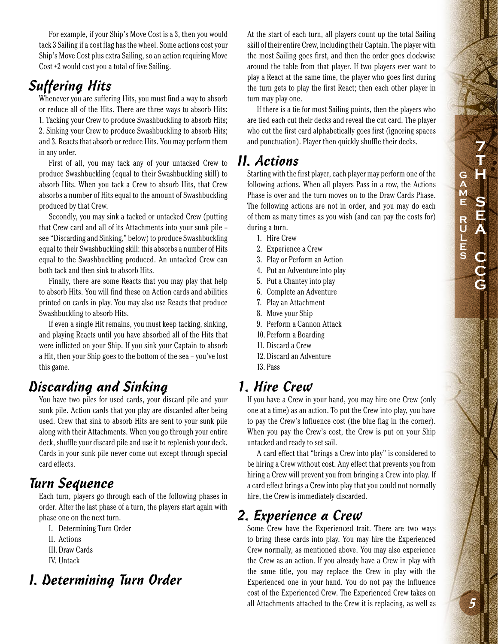**7 T H S E A C C G G A M E R U L E S**

For example, if your Ship's Move Cost is a 3, then you would tack 3 Sailing if a cost flag has the wheel. Some actions cost your Ship's Move Cost plus extra Sailing, so an action requiring Move Cost +2 would cost you a total of five Sailing.

## Suffering Hits

Whenever you are suffering Hits, you must find a way to absorb or reduce all of the Hits. There are three ways to absorb Hits: 1. Tacking your Crew to produce Swashbuckling to absorb Hits; 2. Sinking your Crew to produce Swashbuckling to absorb Hits; and 3. Reacts that absorb or reduce Hits. You may perform them in any order.

First of all, you may tack any of your untacked Crew to produce Swashbuckling (equal to their Swashbuckling skill) to absorb Hits. When you tack a Crew to absorb Hits, that Crew absorbs a number of Hits equal to the amount of Swashbuckling produced by that Crew.

Secondly, you may sink a tacked or untacked Crew (putting that Crew card and all of its Attachments into your sunk pile – see "Discarding and Sinking," below) to produce Swashbuckling equal to their Swashbuckling skill: this absorbs a number of Hits equal to the Swashbuckling produced. An untacked Crew can both tack and then sink to absorb Hits.

Finally, there are some Reacts that you may play that help to absorb Hits. You will find these on Action cards and abilities printed on cards in play. You may also use Reacts that produce Swashbuckling to absorb Hits.

If even a single Hit remains, you must keep tacking, sinking, and playing Reacts until you have absorbed all of the Hits that were inflicted on your Ship. If you sink your Captain to absorb a Hit, then your Ship goes to the bottom of the sea – you've lost this game.

# Discarding and Sinking

You have two piles for used cards, your discard pile and your sunk pile. Action cards that you play are discarded after being used. Crew that sink to absorb Hits are sent to your sunk pile along with their Attachments. When you go through your entire deck, shuffle your discard pile and use it to replenish your deck. Cards in your sunk pile never come out except through special card effects.

#### Turn Sequence

Each turn, players go through each of the following phases in order. After the last phase of a turn, the players start again with phase one on the next turn.

- I. Determining Turn Order
- II. Actions
- III. Draw Cards
- IV. Untack

## I. Determining Turn Order

At the start of each turn, all players count up the total Sailing skill of their entire Crew, including their Captain. The player with the most Sailing goes first, and then the order goes clockwise around the table from that player. If two players ever want to play a React at the same time, the player who goes first during the turn gets to play the first React; then each other player in turn may play one.

If there is a tie for most Sailing points, then the players who are tied each cut their decks and reveal the cut card. The player who cut the first card alphabetically goes first (ignoring spaces and punctuation). Player then quickly shuffle their decks.

#### II. Actions

Starting with the first player, each player may perform one of the following actions. When all players Pass in a row, the Actions Phase is over and the turn moves on to the Draw Cards Phase. The following actions are not in order, and you may do each of them as many times as you wish (and can pay the costs for) during a turn.

- 1. Hire Crew
- 2. Experience a Crew
- 3. Play or Perform an Action
- 4. Put an Adventure into play
- 5. Put a Chantey into play
- 6. Complete an Adventure
- 7. Play an Attachment
- 8. Move your Ship
- 9. Perform a Cannon Attack
- 10. Perform a Boarding
- 11. Discard a Crew
- 12. Discard an Adventure
- 13. Pass

# 1. Hire Crew

If you have a Crew in your hand, you may hire one Crew (only one at a time) as an action. To put the Crew into play, you have to pay the Crew's Influence cost (the blue flag in the corner). When you pay the Crew's cost, the Crew is put on your Ship untacked and ready to set sail.

A card effect that "brings a Crew into play" is considered to be hiring a Crew without cost. Any effect that prevents you from hiring a Crew will prevent you from bringing a Crew into play. If a card effect brings a Crew into play that you could not normally hire, the Crew is immediately discarded.

#### 2. Experience a Crew

Some Crew have the Experienced trait. There are two ways to bring these cards into play. You may hire the Experienced Crew normally, as mentioned above. You may also experience the Crew as an action. If you already have a Crew in play with the same title, you may replace the Crew in play with the Experienced one in your hand. You do not pay the Influence cost of the Experienced Crew. The Experienced Crew takes on all Attachments attached to the Crew it is replacing, as well as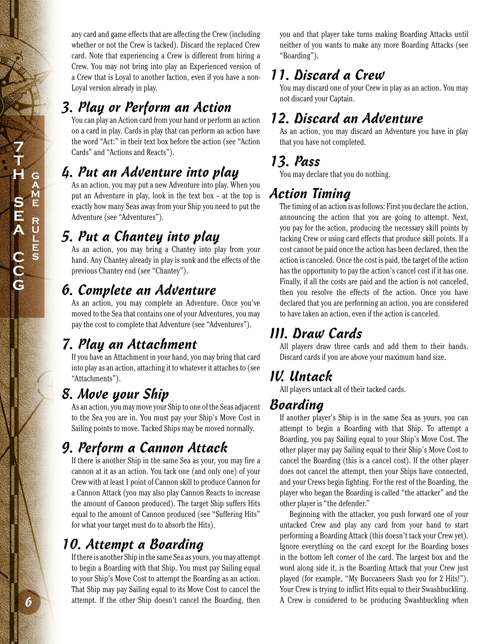# 3. Play or Perform an Action

You can play an Action card from your hand or perform an action on a card in play. Cards in play that can perform an action have the word "Act:" in their text box before the action (see "Action Cards" and "Actions and Reacts").

# 4. Put an Adventure into play

As an action, you may put a new Adventure into play. When you put an Adventure in play, look in the text box – at the top is exactly how many Seas away from your Ship you need to put the Adventure (see "Adventures").

# 5. Put a Chantey into play

As an action, you may bring a Chantey into play from your hand. Any Chantey already in play is sunk and the effects of the previous Chantey end (see "Chantey").

# 6. Complete an Adventure

As an action, you may complete an Adventure. Once you've moved to the Sea that contains one of your Adventures, you may pay the cost to complete that Adventure (see "Adventures").

# 7. Play an Attachment

If you have an Attachment in your hand, you may bring that card into play as an action, attaching it to whatever it attaches to (see "Attachments").

# 8. Move your Ship

As an action, you may move your Ship to one of the Seas adjacent to the Sea you are in. You must pay your Ship's Move Cost in Sailing points to move. Tacked Ships may be moved normally.

# 9. Perform a Cannon Attack

If there is another Ship in the same Sea as your, you may fire a cannon at it as an action. You tack one (and only one) of your Crew with at least 1 point of Cannon skill to produce Cannon for a Cannon Attack (you may also play Cannon Reacts to increase the amount of Cannon produced). The target Ship suffers Hits equal to the amount of Cannon produced (see "Suffering Hits" for what your target must do to absorb the Hits).

# 10. Attempt a Boarding

If there is another Ship in the same Sea as yours, you may attempt to begin a Boarding with that Ship. You must pay Sailing equal to your Ship's Move Cost to attempt the Boarding as an action. That Ship may pay Sailing equal to its Move Cost to cancel the attempt. If the other Ship doesn't cancel the Boarding, then

you and that player take turns making Boarding Attacks until neither of you wants to make any more Boarding Attacks (see "Boarding").

# 11. Discard a Crew

You may discard one of your Crew in play as an action. You may not discard your Captain.

# 12. Discard an Adventure

As an action, you may discard an Adventure you have in play that you have not completed.

# 13. Pass

You may declare that you do nothing.

# Action Timing

The timing of an action is as follows: First you declare the action, announcing the action that you are going to attempt. Next, you pay for the action, producing the necessary skill points by tacking Crew or using card effects that produce skill points. If a cost cannot be paid once the action has been declared, then the action is canceled. Once the cost is paid, the target of the action has the opportunity to pay the action's cancel cost if it has one. Finally, if all the costs are paid and the action is not canceled, then you resolve the effects of the action. Once you have declared that you are performing an action, you are considered to have taken an action, even if the action is canceled.

# III. Draw Cards

All players draw three cards and add them to their hands. Discard cards if you are above your maximum hand size.

# IV. Untack

All players untack all of their tacked cards.

# Boarding

If another player's Ship is in the same Sea as yours, you can attempt to begin a Boarding with that Ship. To attempt a Boarding, you pay Sailing equal to your Ship's Move Cost. The other player may pay Sailing equal to their Ship's Move Cost to cancel the Boarding (this is a cancel cost). If the other player does not cancel the attempt, then your Ships have connected, and your Crews begin fighting. For the rest of the Boarding, the player who began the Boarding is called "the attacker" and the other player is "the defender."

Beginning with the attacker, you push forward one of your untacked Crew and play any card from your hand to start performing a Boarding Attack (this doesn't tack your Crew yet). Ignore everything on the card except for the Boarding boxes in the bottom left corner of the card. The largest box and the word along side it, is the Boarding Attack that your Crew just played (for example, "My Buccaneers Slash you for 2 Hits!"). Your Crew is trying to inflict Hits equal to their Swashbuckling. A Crew is considered to be producing Swashbuckling when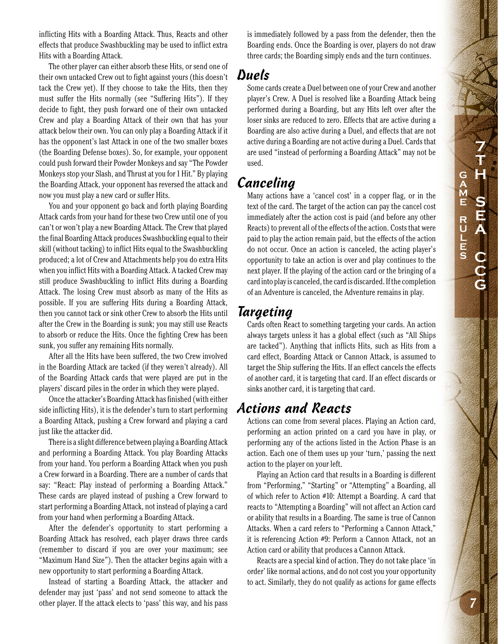inflicting Hits with a Boarding Attack. Thus, Reacts and other effects that produce Swashbuckling may be used to inflict extra Hits with a Boarding Attack.

The other player can either absorb these Hits, or send one of their own untacked Crew out to fight against yours (this doesn't tack the Crew yet). If they choose to take the Hits, then they must suffer the Hits normally (see "Suffering Hits"). If they decide to fight, they push forward one of their own untacked Crew and play a Boarding Attack of their own that has your attack below their own. You can only play a Boarding Attack if it has the opponent's last Attack in one of the two smaller boxes (the Boarding Defense boxes). So, for example, your opponent could push forward their Powder Monkeys and say "The Powder Monkeys stop your Slash, and Thrust at you for 1 Hit." By playing the Boarding Attack, your opponent has reversed the attack and now you must play a new card or suffer Hits.

You and your opponent go back and forth playing Boarding Attack cards from your hand for these two Crew until one of you can't or won't play a new Boarding Attack. The Crew that played the final Boarding Attack produces Swashbuckling equal to their skill (without tacking) to inflict Hits equal to the Swashbuckling produced; a lot of Crew and Attachments help you do extra Hits when you inflict Hits with a Boarding Attack. A tacked Crew may still produce Swashbuckling to inflict Hits during a Boarding Attack. The losing Crew must absorb as many of the Hits as possible. If you are suffering Hits during a Boarding Attack, then you cannot tack or sink other Crew to absorb the Hits until after the Crew in the Boarding is sunk; you may still use Reacts to absorb or reduce the Hits. Once the fighting Crew has been sunk, you suffer any remaining Hits normally.

After all the Hits have been suffered, the two Crew involved in the Boarding Attack are tacked (if they weren't already). All of the Boarding Attack cards that were played are put in the players' discard piles in the order in which they were played.

Once the attacker's Boarding Attack has finished (with either side inflicting Hits), it is the defender's turn to start performing a Boarding Attack, pushing a Crew forward and playing a card just like the attacker did.

There is a slight difference between playing a Boarding Attack and performing a Boarding Attack. You play Boarding Attacks from your hand. You perform a Boarding Attack when you push a Crew forward in a Boarding. There are a number of cards that say: "React: Play instead of performing a Boarding Attack." These cards are played instead of pushing a Crew forward to start performing a Boarding Attack, not instead of playing a card from your hand when performing a Boarding Attack.

After the defender's opportunity to start performing a Boarding Attack has resolved, each player draws three cards (remember to discard if you are over your maximum; see "Maximum Hand Size"). Then the attacker begins again with a new opportunity to start performing a Boarding Attack.

Instead of starting a Boarding Attack, the attacker and defender may just 'pass' and not send someone to attack the other player. If the attack elects to 'pass' this way, and his pass

is immediately followed by a pass from the defender, then the Boarding ends. Once the Boarding is over, players do not draw three cards; the Boarding simply ends and the turn continues.

#### Duels

Some cards create a Duel between one of your Crew and another player's Crew. A Duel is resolved like a Boarding Attack being performed during a Boarding, but any Hits left over after the loser sinks are reduced to zero. Effects that are active during a Boarding are also active during a Duel, and effects that are not active during a Boarding are not active during a Duel. Cards that are used "instead of performing a Boarding Attack" may not be used.

#### Canceling

Many actions have a 'cancel cost' in a copper flag, or in the text of the card. The target of the action can pay the cancel cost immediately after the action cost is paid (and before any other Reacts) to prevent all of the effects of the action. Costs that were paid to play the action remain paid, but the effects of the action do not occur. Once an action is canceled, the acting player's opportunity to take an action is over and play continues to the next player. If the playing of the action card or the bringing of a card into play is canceled, the card is discarded. If the completion of an Adventure is canceled, the Adventure remains in play.

# Targeting

Cards often React to something targeting your cards. An action always targets unless it has a global effect (such as "All Ships are tacked"). Anything that inflicts Hits, such as Hits from a card effect, Boarding Attack or Cannon Attack, is assumed to target the Ship suffering the Hits. If an effect cancels the effects of another card, it is targeting that card. If an effect discards or sinks another card, it is targeting that card.

#### Actions and Reacts

Actions can come from several places. Playing an Action card, performing an action printed on a card you have in play, or performing any of the actions listed in the Action Phase is an action. Each one of them uses up your 'turn,' passing the next action to the player on your left.

Playing an Action card that results in a Boarding is different from "Performing," "Starting" or "Attempting" a Boarding, all of which refer to Action #10: Attempt a Boarding. A card that reacts to "Attempting a Boarding" will not affect an Action card or ability that results in a Boarding. The same is true of Cannon Attacks. When a card refers to "Performing a Cannon Attack," it is referencing Action #9: Perform a Cannon Attack, not an Action card or ability that produces a Cannon Attack.

Reacts are a special kind of action. They do not take place 'in order' like normal actions, and do not cost you your opportunity to act. Similarly, they do not qualify as actions for game effects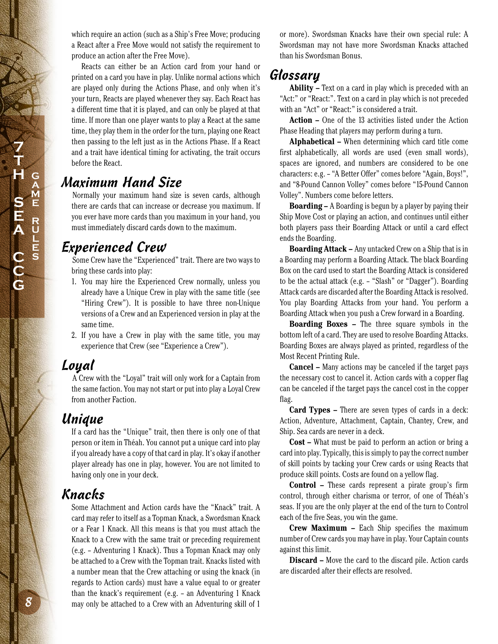**7 T H S E A C C G G A M E R U L E S**

which require an action (such as a Ship's Free Move; producing a React after a Free Move would not satisfy the requirement to produce an action after the Free Move).

Reacts can either be an Action card from your hand or printed on a card you have in play. Unlike normal actions which are played only during the Actions Phase, and only when it's your turn, Reacts are played whenever they say. Each React has a different time that it is played, and can only be played at that time. If more than one player wants to play a React at the same time, they play them in the order for the turn, playing one React then passing to the left just as in the Actions Phase. If a React and a trait have identical timing for activating, the trait occurs before the React.

#### Maximum Hand Size

Normally your maximum hand size is seven cards, although there are cards that can increase or decrease you maximum. If you ever have more cards than you maximum in your hand, you must immediately discard cards down to the maximum.

#### Experienced Crew

Some Crew have the "Experienced" trait. There are two ways to bring these cards into play:

- 1. You may hire the Experienced Crew normally, unless you already have a Unique Crew in play with the same title (see "Hiring Crew"). It is possible to have three non-Unique versions of a Crew and an Experienced version in play at the same time.
- 2. If you have a Crew in play with the same title, you may experience that Crew (see "Experience a Crew").

#### Loyal

A Crew with the "Loyal" trait will only work for a Captain from the same faction. You may not start or put into play a Loyal Crew from another Faction.

#### Unique

If a card has the "Unique" trait, then there is only one of that person or item in Théah. You cannot put a unique card into play if you already have a copy of that card in play. It's okay if another player already has one in play, however. You are not limited to having only one in your deck.

#### Knacks

Some Attachment and Action cards have the "Knack" trait. A card may refer to itself as a Topman Knack, a Swordsman Knack or a Fear 1 Knack. All this means is that you must attach the Knack to a Crew with the same trait or preceding requirement (e.g. – Adventuring 1 Knack). Thus a Topman Knack may only be attached to a Crew with the Topman trait. Knacks listed with a number mean that the Crew attaching or using the knack (in regards to Action cards) must have a value equal to or greater than the knack's requirement (e.g. – an Adventuring 1 Knack may only be attached to a Crew with an Adventuring skill of 1

or more). Swordsman Knacks have their own special rule: A Swordsman may not have more Swordsman Knacks attached than his Swordsman Bonus.

#### Glossary

**Ability –** Text on a card in play which is preceded with an "Act:" or "React:". Text on a card in play which is not preceded with an "Act" or "React:" is considered a trait.

**Action –** One of the 13 activities listed under the Action Phase Heading that players may perform during a turn.

**Alphabetical –** When determining which card title come first alphabetically, all words are used (even small words), spaces are ignored, and numbers are considered to be one characters: e.g. – "A Better Offer" comes before "Again, Boys!", and "8-Pound Cannon Volley" comes before "15-Pound Cannon Volley". Numbers come before letters.

**Boarding –** A Boarding is begun by a player by paying their Ship Move Cost or playing an action, and continues until either both players pass their Boarding Attack or until a card effect ends the Boarding.

**Boarding Attack –** Any untacked Crew on a Ship that is in a Boarding may perform a Boarding Attack. The black Boarding Box on the card used to start the Boarding Attack is considered to be the actual attack (e.g. – "Slash" or "Dagger"). Boarding Attack cards are discarded after the Boarding Attack is resolved. You play Boarding Attacks from your hand. You perform a Boarding Attack when you push a Crew forward in a Boarding.

**Boarding Boxes –** The three square symbols in the bottom left of a card. They are used to resolve Boarding Attacks. Boarding Boxes are always played as printed, regardless of the Most Recent Printing Rule.

**Cancel –** Many actions may be canceled if the target pays the necessary cost to cancel it. Action cards with a copper flag can be canceled if the target pays the cancel cost in the copper flag.

**Card Types –** There are seven types of cards in a deck: Action, Adventure, Attachment, Captain, Chantey, Crew, and Ship. Sea cards are never in a deck.

**Cost –** What must be paid to perform an action or bring a card into play. Typically, this is simply to pay the correct number of skill points by tacking your Crew cards or using Reacts that produce skill points. Costs are found on a yellow flag.

**Control –** These cards represent a pirate group's firm control, through either charisma or terror, of one of Théah's seas. If you are the only player at the end of the turn to Control each of the five Seas, you win the game.

**Crew Maximum –** Each Ship specifies the maximum number of Crew cards you may have in play. Your Captain counts against this limit.

**Discard –** Move the card to the discard pile. Action cards are discarded after their effects are resolved.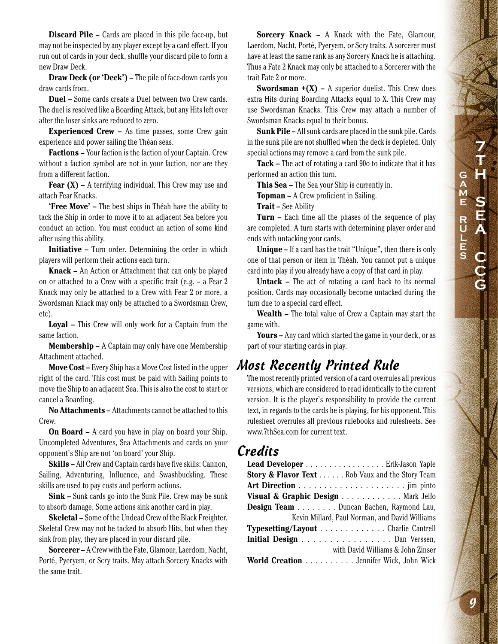**Discard Pile –** Cards are placed in this pile face-up, but may not be inspected by any player except by a card effect. If you run out of cards in your deck, shuffle your discard pile to form a new Draw Deck.

**Draw Deck (or 'Deck')** – The pile of face-down cards you draw cards from.

**Duel –** Some cards create a Duel between two Crew cards. The duel is resolved like a Boarding Attack, but any Hits left over after the loser sinks are reduced to zero.

**Experienced Crew –** As time passes, some Crew gain experience and power sailing the Théan seas.

**Factions –** Your faction is the faction of your Captain. Crew without a faction symbol are not in your faction, nor are they from a different faction.

**Fear (X)** – A terrifying individual. This Crew may use and attach Fear Knacks.

**'Free Move' –** The best ships in Théah have the ability to tack the Ship in order to move it to an adjacent Sea before you conduct an action. You must conduct an action of some kind after using this ability.

**Initiative –** Turn order. Determining the order in which players will perform their actions each turn.

**Knack –** An Action or Attachment that can only be played on or attached to a Crew with a specific trait (e.g. – a Fear 2 Knack may only be attached to a Crew with Fear 2 or more, a Swordsman Knack may only be attached to a Swordsman Crew, etc).

**Loyal –** This Crew will only work for a Captain from the same faction.

**Membership –** A Captain may only have one Membership Attachment attached.

**Move Cost –** Every Ship has a Move Cost listed in the upper right of the card. This cost must be paid with Sailing points to move the Ship to an adjacent Sea. This is also the cost to start or cancel a Boarding.

**No Attachments –** Attachments cannot be attached to this Crew.

**On Board –** A card you have in play on board your Ship. Uncompleted Adventures, Sea Attachments and cards on your opponent's Ship are not 'on board' your Ship.

**Skills –** All Crew and Captain cards have five skills: Cannon, Sailing, Adventuring, Influence, and Swashbuckling. These skills are used to pay costs and perform actions.

**Sink –** Sunk cards go into the Sunk Pile. Crew may be sunk to absorb damage. Some actions sink another card in play.

**Skeletal –** Some of the Undead Crew of the Black Freighter. Skeletal Crew may not be tacked to absorb Hits, but when they sink from play, they are placed in your discard pile.

**Sorcerer –** A Crew with the Fate, Glamour, Laerdom, Nacht, Porté, Pyeryem, or Scry traits. May attach Sorcery Knacks with the same trait.

**Sorcery Knack –** A Knack with the Fate, Glamour, Laerdom, Nacht, Porté, Pyeryem, or Scry traits. A sorcerer must have at least the same rank as any Sorcery Knack he is attaching. Thus a Fate 2 Knack may only be attached to a Sorcerer with the trait Fate 2 or more.

**Swordsman +(X) –** A superior duelist. This Crew does extra Hits during Boarding Attacks equal to X. This Crew may use Swordsman Knacks. This Crew may attach a number of Swordsman Knacks equal to their bonus.

**Sunk Pile –** All sunk cards are placed in the sunk pile. Cards in the sunk pile are not shuffled when the deck is depleted. Only special actions may remove a card from the sunk pile.

**Tack –** The act of rotating a card 90o to indicate that it has performed an action this turn.

**This Sea –** The Sea your Ship is currently in.

**Topman –** A Crew proficient in Sailing.

**Trait –** See Ability

**Turn –** Each time all the phases of the sequence of play are completed. A turn starts with determining player order and ends with untacking your cards.

**Unique –** If a card has the trait "Unique", then there is only one of that person or item in Théah. You cannot put a unique card into play if you already have a copy of that card in play.

**Untack –** The act of rotating a card back to its normal position. Cards may occasionally become untacked during the turn due to a special card effect.

**Wealth –** The total value of Crew a Captain may start the game with.

**Yours –** Any card which started the game in your deck, or as part of your starting cards in play.

#### Most Recently Printed Rule

The most recently printed version of a card overrules all previous versions, which are considered to read identically to the current version. It is the player's responsibility to provide the current text, in regards to the cards he is playing, for his opponent. This rulesheet overrules all previous rulebooks and rulesheets. See www.7thSea.com for current text.

#### Credits

| Lead Developer Erik-Jason Yaple                            |
|------------------------------------------------------------|
| <b>Story &amp; Flavor Text</b> Rob Vaux and the Story Team |
|                                                            |
| Visual & Graphic Design Mark Jelfo                         |
| <b>Design Team</b> Duncan Bachen, Raymond Lau,             |
| Kevin Millard, Paul Norman, and David Williams             |
| Typesetting/Layout Charlie Cantrell                        |
| Initial Design Dan Verssen,                                |
| with David Williams & John Zinser                          |
| World Creation Jennifer Wick, John Wick                    |